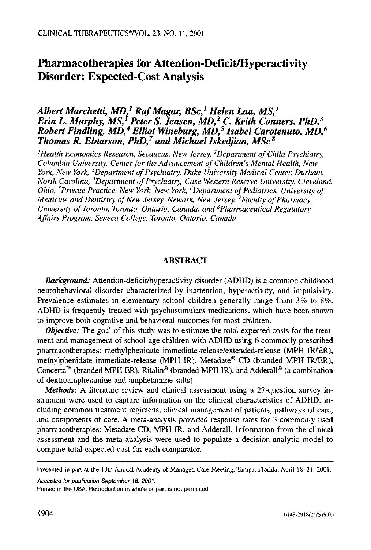# **Pharmacotherapies for Attention-Deficit/Hyperactivity Disorder: Expected-Cost Analysis**

# *Albert Marchetti, MD, 1 Raf Magar, BSc, 1 Helen Lau, MS, 1 Erin L. Murphy, MS,<sup>1</sup> Peter S. Jensen, MD,<sup>2</sup> C. Keith Conners, PhD,<sup>3</sup> Robert Findling, MD, 4 Elliot Wineburg, MD, 5 Isabel Carotenuto, MD, 6 Thomas R. Einarson, PhD,<sup>7</sup> and Michael Iskediian, MSc*<sup>8</sup>

*IHealth Economics Research, Secaucus, New Jersey, 2Department of Child Psychiatry, Columbia University, Center for the Advancement of Children's Mental Health, New York, New York, 3Department of Psychiatry, Duke University Medical Center, Durham, North Carolina, 4Department of Psychiatry, Case Western Reserve University, Cleveland, Ohio, 5private Practice, New York, New York, 6Department of Pediatrics, University of Medicine and Dentistry of New Jersey, Newark, New Jersey, 7Faculty of Pharmacy, University of Toronto, Toronto, Ontario, Canada, and SPharmaceutical Regulatory Affairs Program, Seneca College, Toronto, Ontario, Canada* 

#### **ABSTRACT**

*Background:* Attention-deficit/hyperactivity disorder (ADHD) is a common childhood neurobehavioral disorder characterized by inattention, hyperactivity, and impulsivity. Prevalence estimates in elementary school children generally range from 3% to 8%. ADHD is frequently treated with psychostimulant medications, which have been shown to improve both cognitive and behavioral outcomes for most children.

*Objective:* The goal of this study was to estimate the total expected costs for the treatment and management of school-age children with ADHD using 6 commonly prescribed pharmacotherapies: methylphenidate immediate-release/extended-release (MPH IR/ER), methylphenidate immediate-release (MPH IR), Metadate® CD (branded MPH IR/ER), Concerta<sup>TM</sup> (branded MPH ER), Ritalin<sup>®</sup> (branded MPH IR), and Adderall<sup>®</sup> (a combination of dextroamphetamine and amphetamine salts).

*Methods:* A literature review and clinical assessment using a 27-question survey instrument were used to capture information on the clinical characteristics of ADHD, including common treatment regimens, clinical management of patients, pathways of care, and components of care. A meta-analysis provided response rates for 3 commonly used phannacotherapies: Metadate CD, MPH IR, and Adderall. Information from the clinical assessment and the meta-analysis were used to populate a decision-analytic model to compute total expected cost for each comparator.

*Accepted for publication September 18, 2001.* 

Presented in part at the 13th Annual Academy of Managed Care Meeting, Tampa, Florida, April 18-21, 2001.

**Printed** in the USA. Reproduction in whole **or part is not permitted.**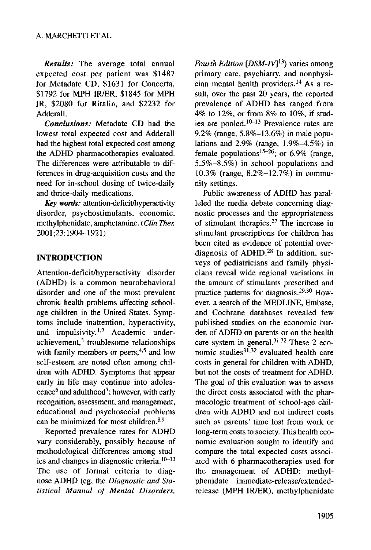*Results:* The average total annual expected cost per patient was \$1487 for Metadate CD, \$1631 for Concerta, \$1792 for MPH IR/ER, \$1845 for MPH IR, \$2080 for Ritalin, and \$2232 for Adderall.

*Conclusions:* Metadate CD had the lowest total expected cost and Adderall had the highest total expected cost among the ADHD pharmacotherapies evaluated. The differences were attributable to differences in drug-acquisition costs and the need for in-school dosing of twice-daily and thrice-daily medications.

*Key words:* attention-deficit/hyperactivity disorder, psychostimulants, economic, methylphenidate, amphetamine. *( Clin Ther.*  2001 ;23:1904--1921)

## INTRODUCTION

Attention-deficit/hyperactivity disorder (ADHD) is a common neurobehavioral disorder and one of the most prevalent chronic health problems affecting schoolage children in the United States. Symptoms include inattention, hyperactivity, and impulsivity.<sup>1,2</sup> Academic under $achievement<sup>3</sup>$  troublesome relationships with family members or peers,<sup>4,5</sup> and low self-esteem are noted often among children with ADHD. Symptoms that appear early in life may continue into adolescence<sup>6</sup> and adulthood<sup>7</sup>; however, with early recognition, assessment, and management, educational and psychosocial problems can be minimized for most children.<sup>8,9</sup>

Reported prevalence rates for ADHD vary considerably, possibly because of methodological differences among studies and changes in diagnostic criteria.  $10-13$ The use of formal criteria to diagnose ADHD (eg, the *Diagnostic and Statistical Manual of Mental Disorders,* 

*Fourth Edition [DSM-IV] 13)* varies among primary care, psychiatry, and nonphysician mental health providers.<sup>14</sup> As a resuit, over the past 20 years, the reported prevalence of ADHD has ranged from 4% to 12%, or from 8% to 10%, if studies are pooled.  $10-13$  Prevalence rates are 9.2% (range, 5.8%-13.6%) in male populations and  $2.9\%$  (range,  $1.9\%$  -4.5%) in female populations<sup>15-26</sup>; or 6.9% (range, 5.5%-8.5%) in school populations and 10.3% (range, 8.2%-12.7%) in community settings.

Public awareness of ADHD has paralleled the media debate concerning diagnostic processes and the appropriateness of stimulant therapies. 27 The increase in stimulant prescriptions for children has been cited as evidence of potential overdiagnosis of ADHD.<sup>28</sup> In addition, surveys of pediatricians and family physicians reveal wide regional variations in the amount of stimulants prescribed and practice patterns for diagnosis. 29,3° However, a search of the MEDLINE, Embase, and Cochrane databases revealed few published studies on the economic burden of ADHD on parents or on the health care system in general.<sup>31,32</sup> These 2 economic studies<sup>31,32</sup> evaluated health care costs in general for children with ADHD, but not the costs of treatment for ADHD. The goal of this evaluation was to assess the direct costs associated with the pharmacologic treatment of school-age children with ADHD and not indirect costs such as parents' time lost from work or long-term costs to society. This health economic evaluation sought to identify and compare the total expected costs associated with 6 pharmacotherapies used for the management of ADHD: methylphenidate immediate-release/extendedrelease (MPH IR/ER), methylphenidate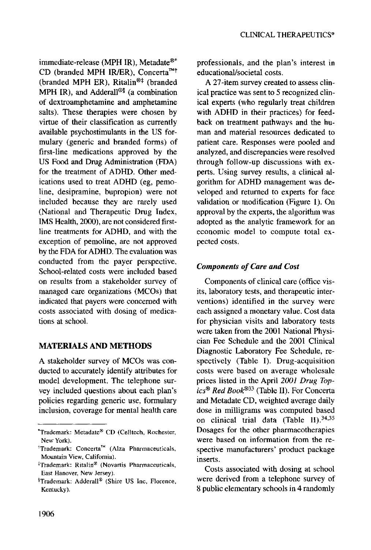immediate-release (MPH IR), Metadate<sup>®\*</sup> CD (branded MPH IR/ER), Concerta<sup>rM†</sup> (branded MPH ER), Ritalin<sup>®‡</sup> (branded MPH IR), and Adderall®§ (a combination of dextroamphetamine and amphetamine salts). These therapies were chosen by virtue of their classification as currently available psychostimulants in the US formulary (generic and branded forms) of first-line medications approved by the US Food and Drug Administration (FDA) for the treatment of ADHD. Other medications used to treat ADHD (eg, pemoline, desipramine, bupropion) were not included because they are rarely used (National and Therapeutic Drug Index, IMS Health, 2000), are not considered firstline treatments for ADHD, and with the exception of pemoline, are not approved by the FDA for ADHD. The evaluation was conducted from the payer perspective. School-related costs were included based on results from a stakeholder survey of managed care organizations (MCOs) that indicated that payers were concerned with costs associated with dosing of medications at school.

## **MATERIALS AND METHODS**

A stakeholder survey of MCOs was conducted to accurately identify attributes for model development. The telephone survey included questions about each plan's policies regarding generic use, formulary inclusion, coverage for mental health care professionals, and the plan's interest in educational/societal costs.

A 27-item survey created to assess clinical practice was sent to 5 recognized clinical experts (who regularly treat children with ADHD in their practices) for feedback on treatment pathways and the human and material resources dedicated to patient care. Responses were pooled and analyzed, and discrepancies were resolved through follow-up discussions with experts. Using survey results, a clinical algorithm for ADHD management was developed and returned to experts for face validation or modification (Figure 1). On approval by the experts, the algorithm was adopted as the analytic framework for an economic model to compute total expected costs.

## *Components of Care and Cost*

Components of clinical care (office visits, laboratory tests, and therapeutic interventions) identified in the survey were each assigned a monetary value. Cost data for physician visits and laboratory tests were taken from the 2001 National Physician Fee Schedule and the 2001 Clinical Diagnostic Laboratory Fee Schedule, respectively (Table I). Drug-acquisition costs were based on average wholesale prices listed in the April *2001 Drug Topics ® Red Book ®33* (Table II). For Concerta and Metadate CD, weighted average daily dose in milligrams was computed based on clinical trial data (Table II). 34,35 Dosages for the other pharmacotherapies were based on information from the respective manufacturers' product package inserts.

Costs associated with dosing at school were derived from a telephone survey of 8 public elementary schools in 4 randomly

<sup>\*</sup>Trademark: Metadate® CD (Celltech, Rochester, New York).

 ${}^{\dagger}$ Trademark: Concerta<sup>TM</sup> (Alza Pharmaceuticals, Mountain View, California).

<sup>\*</sup>Trademark: Ritalin ® (Novartis Pharmaceuticals, East Hanover, New Jersey).

<sup>&</sup>lt;sup>§</sup>Trademark: Adderall<sup>®</sup> (Shire US Inc, Florence, Kentucky).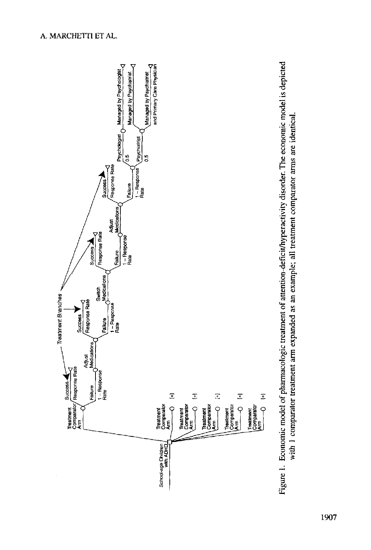

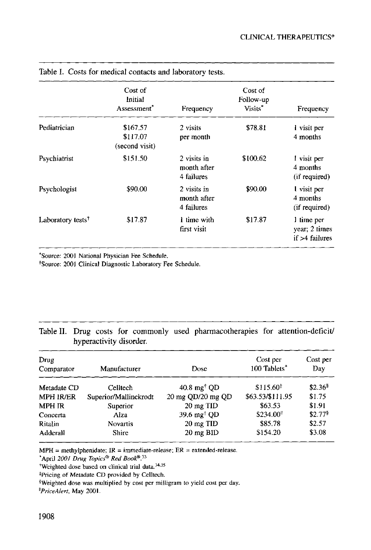|                               | Cost of<br>Initial<br>Assessment <sup>*</sup> | Frequency                                | Cost of<br>Follow-up<br>Visits* | Frequency                                        |
|-------------------------------|-----------------------------------------------|------------------------------------------|---------------------------------|--------------------------------------------------|
| Pediatrician                  | \$167.57<br>\$117.07<br>(second visit)        | 2 visits<br>per month                    | \$78.81                         | l visit per<br>4 months                          |
| Psychiatrist                  | \$151.50                                      | 2 visits in<br>month after<br>4 failures | \$100.62                        | 1 visit per<br>4 months<br>(if required)         |
| Psychologist                  | \$90.00                                       | 2 visits in<br>month after<br>4 failures | \$90.00                         | I visit per<br>4 months<br>(if required)         |
| Laboratory tests <sup>†</sup> | \$17.87                                       | 1 time with<br>first visit               | \$17.87                         | 1 time per<br>year; 2 times<br>$if > 4$ failures |

Table I. Costs for medical contacts and laboratory tests.

\*Source: 2001 National Physician Fee Schedule.

tSource: 2001 Clinical Diagnostic Laboratory Fee Schedule.

# Table II. Drug costs for commonly used pharmacotherapies for attention-deficit/ hyperactivity disorder.

| Drug<br>Comparator | Manufacturer          | Dose                           | Cost per<br>100 Tablets* | Cost per<br>Day<br>\$2.36 |  |
|--------------------|-----------------------|--------------------------------|--------------------------|---------------------------|--|
| Metadate CD        | Celltech              | $40.8 \text{ mg}^{\dagger}$ OD | $$115.60^{\ddagger}$     |                           |  |
| <b>MPH IR/ER</b>   | Superior/Mallinckrodt | 20 mg QD/20 mg QD              | \$63.53/\$111.95         | \$1.75                    |  |
| <b>MPH IR</b>      | Superior              | 20 mg TID                      | \$63.53                  | \$1.91                    |  |
| Concerta           | Alza                  | 39.6 mg <sup>†</sup> OD        | \$234.00                 | \$2.77%                   |  |
| Ritalin            | <b>Novartis</b>       | 20 mg TID                      | \$85.78                  | \$2.57                    |  |
| Adderall           | <b>Shire</b>          | 20 mg BID                      | \$154.20                 | \$3.08                    |  |

 $MPH = methylphenidate; IR = immediate-release; ER = extended-release.$ 

\*April *2001 Drug Topics ® Red Book®. 33* 

~Weighted dose based on clinical trial data. 34,35

~Pricing of Metadate CD provided by Celltech.

§Weighted dose was multiplied by cost per milligram to yield cost per day.

*I~PriceAlert,* May 2001.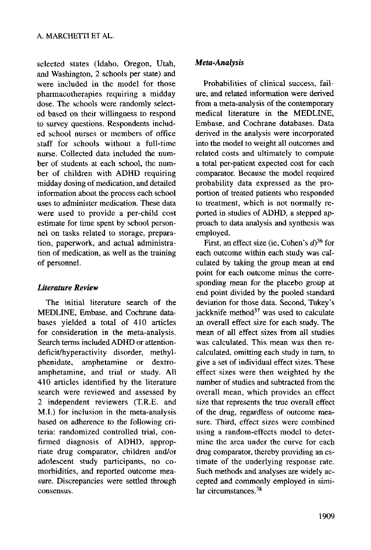selected states (Idaho, Oregon, Utah, and Washington, 2 schools per state) and were included in the model for those pharmacotherapies requiring a midday dose. The schools were randomly selected based on their willingness to respond to survey questions. Respondents included school nurses or members of office staff for schools without a full-time nurse. Collected data included the number of students at each school, the number of children with ADHD requiring midday dosing of medication, and detailed information about the process each school uses to administer medication. These data were used to provide a per-child cost estimate for time spent by school personnel on tasks related to storage, preparation, paperwork, and actual administration of medication, as well as the training of personnel.

## *Literature Review*

The initial literature search of the MEDLINE, Embase, and Cochrane databases yielded a total of 410 articles for consideration in the meta-analysis. Search terms included ADHD or attentiondeficit/hyperactivity disorder, methylphenidate, amphetamine or dextroamphetamine, and trial or study. All 410 articles identified by the literature search were reviewed and assessed by 2 independent reviewers (T.R.E. and M.I.) for inclusion in the meta-analysis based on adherence to the following criteria: randomized controlled trial, confirmed diagnosis of ADHD, appropriate drug comparator, children and/or adolescent study participants, no comorbidities, and reported outcome measure. Discrepancies were settled through consensus.

### *Meta-Analysis*

Probabilities of clinical success, failure, and related information were derived from a meta-analysis of the contemporary medical literature in the MEDLINE, Embase, and Cochrane databases. Data derived in the analysis were incorporated into the model to weight all outcomes and related costs and ultimately to compute a total per-patient expected cost for each comparator. Because the model required probability data expressed as the proportion of treated patients who responded to treatment, which is not normally reported in studies of ADHD, a stepped approach to data analysis and synthesis was employed.

First, an effect size (ie, Cohen's  $d$ )<sup>36</sup> for each outcome within each study was calculated by taking the group mean at end point for each outcome minus the corresponding mean for the placebo group at end point divided by the pooled standard deviation for those data. Second, Tukey's jackknife method $37$  was used to calculate an overall effect size for each study. The mean of all effect sizes from all studies was calculated. This mean was then recalculated, omitting each study in turn, to give a set of individual effect sizes. These effect sizes were then weighted by the number of studies and subtracted from the overall mean, which provides an effect size that represents the true overall effect of the drug, regardless of outcome measure. Third, effect sizes were combined using a random-effects model to determine the area under the curve for each drug comparator, thereby providing an estimate of the underlying response rate. Such methods and analyses are widely accepted and commonly employed in similar circumstances.<sup>38</sup>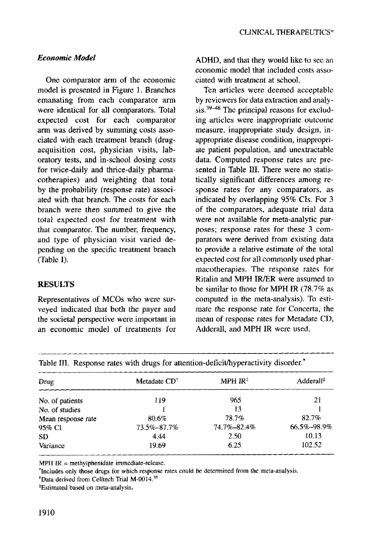## *Economic Model*

One comparator arm of the economic model is presented in Figure 1. Branches emanating from each comparator arm were identical for all comparators. Total expected cost for each comparator arm was derived by summing costs associated with each treatment branch (drugacquisition cost, physician visits, laboratory tests, and in-school dosing costs for twice-daily and thrice-daily pharmacotherapies) and weighting that total by the probability (response rate) associated with that branch. The costs for each branch were then summed to give the total expected cost for treatment with that comparator. The number, frequency, and type of physician visit varied depending on the specific treatment branch (Table I).

### **RESULTS**

Representatives of MCOs who were surveyed indicated that both the payer and the societal perspective were important in an economic model of treatments for

ADHD, and that they would like to see an economic model that included costs associated with treatment at school.

Ten articles were deemed acceptable by reviewers for data extraction and analysis.<sup>39-48</sup> The principal reasons for excluding articles were inappropriate outcome measure, inappropriate study design, inappropriate disease condition, inappropriate patient population, and unextractable data. Computed response rates are presented in Table III. There were no statistically significant differences among response rates for any comparators, as indicated by overlapping 95% CIs. For 3 of the comparators, adequate trial data were not available for meta-analytic purposes; response rates for these 3 comparators were derived from existing data to provide a relative estimate of the total expected cost for all commonly used pharmacotherapies. The response rates for Ritalin and MPH IR/ER were assumed to be similar to those for MPH IR (78.7% as computed in the meta-analysis). To estimate the response rate for Concerta, the mean of response rates for Metadate CD, Adderall, and MPH IR were used.

| Table III. Response rates with drugs for attention-deficit/hyperactivity disorder. |                         |                     |                       |  |  |  |
|------------------------------------------------------------------------------------|-------------------------|---------------------|-----------------------|--|--|--|
| Drug                                                                               | Metadate $CD^{\dagger}$ | MPH $IR^{\ddagger}$ | Adderall <sup>#</sup> |  |  |  |
| No. of patients                                                                    | 119                     | 965                 | 21                    |  |  |  |
| No. of studies                                                                     |                         | 13                  |                       |  |  |  |
| Mean response rate                                                                 | 80.6%                   | 78.7%               | 82.7%                 |  |  |  |
| 95% CI                                                                             | 73.5%-87.7%             | 74.7%-82.4%         | 66.5%-98.9%           |  |  |  |
| <b>SD</b>                                                                          | 4.44                    | 2.50                | 10.13                 |  |  |  |
| Variance                                                                           | 19.69                   | 6.25                | 102.52                |  |  |  |

MPH IR = methylphenidate immediate-release.

\*Includes only those drugs for which response rates could be determined from the meta-analysis.

<sup>†</sup>Data derived from Celltech Trial M-0014.<sup>35</sup>

<sup>‡</sup>Estimated based on meta-analysis.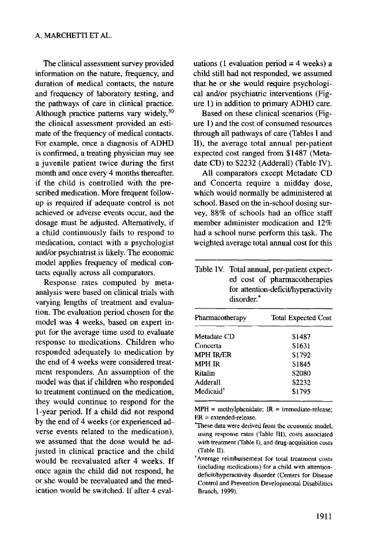The clinical assessment survey provided information on the nature, frequency, and duration of medical contacts, the nature and frequency of laboratory testing, and the pathways of care in clinical practice. Although practice patterns vary widely,  $30$ the clinical assessment provided an estimate of the frequency of medical contacts. For example, once a diagnosis of ADHD is confirmed, a treating physician may see a juvenile patient twice during the first month and once every 4 months thereafter, if the child is controlled with the prescribed medication. More frequent followup is required if adequate control is not achieved or adverse events occur, and the dosage must be adjusted. Alternatively, if a child continuously fails to respond to medication, contact with a psychologist and/or psychiatrist is likely. The economic model applies frequency of medical contacts equally across all comparators.

Response rates computed by metaanalysis were based on clinical trials with varying lengths of treatment and evaluation. The evaluation period chosen for the model was 4 weeks, based on expert input for the average time used to evaluate response to medications. Children who responded adequately to medication by the end of 4 weeks were considered treatment responders. An assumption of the model was that if children who responded to treatment continued on the medication, they would continue to respond for the 1-year period. If a child did not respond by the end of 4 weeks (or experienced adverse events related to the medication), we assumed that the dose would be adjusted in clinical practice and the child would be reevaluated after 4 weeks. If once again the child did not respond, he or she would be reevaluated and the medication would be switched. If after 4 evaluations (1 evaluation period  $=$  4 weeks) a child still had not responded, we assumed that he or she would require psychological and/or psychiatric interventions (Figure 1) in addition to primary ADHD care.

Based on these clinical scenarios (Figure 1) and the cost of consumed resources through all pathways of care (Tables I and II), the average total annual per-patient expected cost ranged from \$1487 (Metadate CD) to \$2232 (Adderall) (Table IV).

All comparators except Metadate CD and Concerta require a midday dose, which would normally be administered at school. Based on the in-school dosing survey, 88% of schools had an office staff member administer medication and 12% had a school nurse perform this task. The weighted average total annual cost for this

Table IV. Total annual, per-patient expected cost of pharmacotherapies for attention-deficit/hyperactivity disorder.\*

| <b>Total Expected Cost</b> |  |  |  |
|----------------------------|--|--|--|
| \$1487                     |  |  |  |
| \$1631                     |  |  |  |
| \$1792                     |  |  |  |
| S1845                      |  |  |  |
| \$2080                     |  |  |  |
| \$2232                     |  |  |  |
| \$1795                     |  |  |  |
|                            |  |  |  |

 $MPH = methylphenidate; IR = immediate-release;$ ER = extended-release.

<sup>\*</sup>These data were derived from the economic model, using response rates (Table III), costs associated with treatment (Table I), and drug-acquisition costs (Table II).

<sup>\*</sup>Average reimbursement for total treatment costs (including medications) for a child with attentiondeficit/hyperactivity disorder (Centers for Disease Control and Prevention Developmental Disabilities Branch, 1999).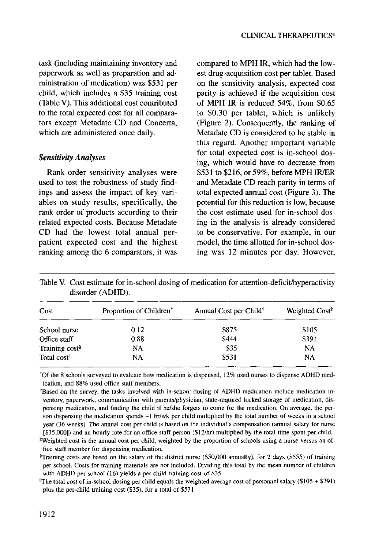task (including maintaining inventory and paperwork as well as preparation and administration of medication) was \$531 per child, which includes a \$35 training cost (Table V). This additional cost contributed to the total expected cost for all comparators except Metadate CD and Concerta, which are administered once daily.

#### *Sensitivity Analyses*

Rank-order sensitivity analyses were used to test the robustness of study findings and assess the impact of key variables on study results, specifically, the rank order of products according to their related expected costs. Because Metadate CD had the lowest total annual perpatient expected cost and the highest ranking among the 6 comparators, it was compared to MPH IR, which had the lowest drug-acquisition cost per tablet. Based on the sensitivity analysis, expected cost parity is achieved if the acquisition cost of MPH IR is reduced 54%, from \$0.65 to \$0.30 per tablet, which is unlikely (Figure 2). Consequently, the ranking of Metadate CD is considered to be stable in this regard. Another important variable for total expected cost is in-school dosing, which would have to decrease from \$531 to \$216, or 59%, before MPH IR/ER and Metadate CD reach parity in terms of total expected annual cost (Figure 3). The potential for this reduction is low, because the cost estimate used for in-school dosing in the analysis is already considered to be conservative. For example, in our model, the time allotted for in-school dosing was 12 minutes per day. However,

| Cost                       | Proportion of Children <sup>*</sup> | Annual Cost per Child <sup>†</sup> | Weighted Cost <sup>‡</sup> |  |
|----------------------------|-------------------------------------|------------------------------------|----------------------------|--|
| School nurse               | 0.12                                | \$875                              | \$105                      |  |
| Office staff               | 0.88                                | \$444                              | \$391                      |  |
| Training cost <sup>§</sup> | NA                                  | \$35                               | NA                         |  |
| Total cost <sup>II</sup>   | NA                                  | \$531                              | NA                         |  |

Table V. Cost estimate for in-school dosing of medication for attention-deficit/hyperactivity disorder (ADHD).

\*Of the 8 schools surveyed to evaluate how medication is dispensed, 12% used nurses to dispense ADHD medication, and 88% used office staff members.

<sup>+</sup>Based on the survey, the tasks involved with in-school dosing of ADHD medication include medication inventory, paperwork, communication with parents/physician, state-required locked storage of medication, dispensing medication, and finding the child if he/she forgets to come for the medication. On average, the person dispensing the medication spends  $\sim$ 1 hr/wk per child multiplied by the total number of weeks in a school year (36 weeks). The annual cost per child is based on the individual's compensation (annual salary for nurse [\$35,0001) and an hourly rate for an office staff person (\$12/hr) multiplied by the total time spent per child.

<sup>\*</sup>Weighted cost is the annual cost per child, weighted by the proportion of schools using a nurse versus an office staff member for dispensing medication.

<sup>§</sup>Training costs are based on the salary of the district nurse (\$50,000 annually), for 2 days (\$555) of training per school. Costs for training materials are not included. Dividing this total by the mean number of children with ADHD per school (16) yields a per-child training cost of \$35.

 ${}^{\text{II}}$ The total cost of in-school dosing per child equals the weighted average cost of personnel salary (\$105 + \$391) plus the per-child training cost (\$35), for a total of \$531.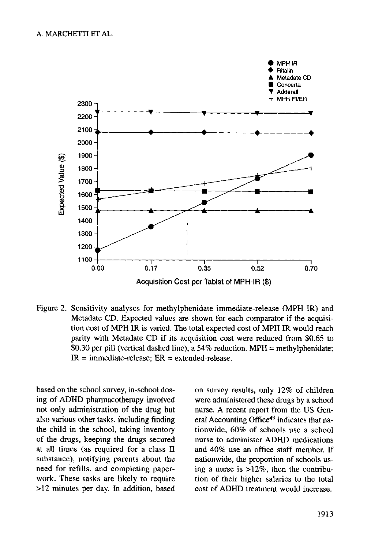#### A. MARCHETTI ET AL.



Acquisition Cost per Tablet of MPH-IR (\$)

Figure 2. Sensitivity analyses for methylphenidate immediate-release (MPH IR) and Metadate CD. Expected values are shown for each comparator if the acquisition cost of MPH IR is varied. The total expected cost of MPH IR would reach parity with Metadate CD if its acquisition cost were reduced from \$0.65 to \$0.30 per pill (vertical dashed line), a 54% reduction. MPH = methylphenidate:  $IR =$  immediate-release:  $ER =$  extended-release.

based on the school survey, in-school dosing of ADHD pharmacotherapy involved not only administration of the drug but also various other tasks, including finding the child in the school, taking inventory of the drugs, keeping the drugs secured at all times (as required for a class II substance), notifying parents about the need for refills, and completing paperwork. These tasks are likely to require >12 minutes per day. In addition, based on survey results, only 12% of children were administered these drugs by a school nurse. A recent report from the US General Accounting Office<sup>49</sup> indicates that nationwide, 60% of schools use a school nurse to administer ADHD medications and 40% use an office staff member. If nationwide, the proportion of schools using a nurse is >12%, then the contribution of their higher salaries to the total cost of ADHD treatment would increase.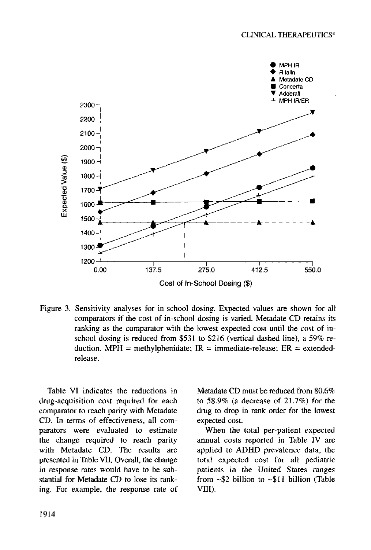

Cost of In-School Dosing (\$)

Figure 3. Sensitivity analyses for in-school dosing. Expected values are shown for all comparators if the cost of in-school dosing is varied. Metadate CD retains its ranking as the comparator with the lowest expected cost until the cost of inschool dosing is reduced from \$531 to \$216 (vertical dashed line), a 59% reduction. MPH = methylphenidate;  $IR =$  immediate-release;  $ER =$  extendedrelease.

Table VI indicates the reductions in drug-acquisition cost required for each comparator to reach parity with Metadate CD. In terms of effectiveness, all comparators were evaluated to estimate the change required to reach parity with Metadate CD. The results are presented in Table VII. Overall, the change in response rates would have to be substantial for Metadate CD to lose its ranking. For example, the response rate of

Metadate CD must be reduced from 80.6% to 58.9% (a decrease of 21.7%) for the drug to drop in rank order for the lowest expected cost.

When the total per-patient expected annual costs reported in Table IV are applied to ADHD prevalence data, the total expected cost for all pediatric patients in the United States ranges from -\$2 billion to ~\$11 billion (Table VIII).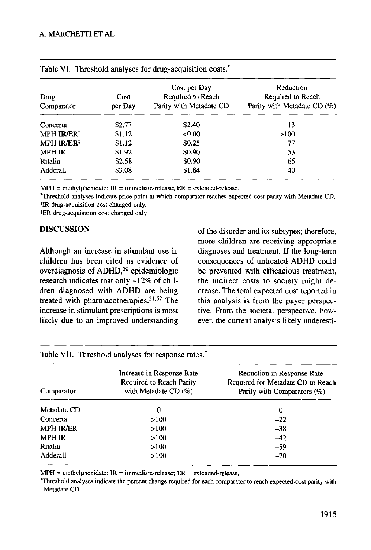| Drug<br>Comparator     | Cost<br>per Day | Cost per Day<br>Required to Reach<br>Parity with Metadate CD | Reduction<br>Required to Reach<br>Parity with Metadate CD (%) |  |
|------------------------|-----------------|--------------------------------------------------------------|---------------------------------------------------------------|--|
| Concerta               | \$2.77          | \$2.40                                                       | 13                                                            |  |
| MPH IR/ER <sup>+</sup> | \$1.12          | < 0.00                                                       | >100                                                          |  |
| MPH IR/ER <sup>‡</sup> | \$1.12          | \$0.25                                                       | 77                                                            |  |
| <b>MPH IR</b>          | \$1.92          | \$0.90                                                       | 53                                                            |  |
| Ritalin                | \$2.58          | \$0.90                                                       | 65                                                            |  |
| Adderall               | \$3.08          | \$1.84                                                       | 40                                                            |  |

| Table VI. Threshold analyses for drug-acquisition costs.* |  |  |
|-----------------------------------------------------------|--|--|
|-----------------------------------------------------------|--|--|

 $MPH = methylphenidate; IR = immediate-release; ER = extended-release.$ 

\*Threshold analyses indicate price point at which comparator reaches expected-cost parity with Metadate CD. <sup>†</sup>IR drug-acquisition cost changed only.

\*ER drug-acquisition cost changed only.

## DISCUSSION

Although an increase in stimulant use in children has been cited as evidence of overdiagnosis of ADHD,<sup>50</sup> epidemiologic research indicates that only ~12% of children diagnosed with ADHD are being treated with pharmacotherapies. 51,52 The increase in stimulant prescriptions is most likely due to an improved understanding

of the disorder and its subtypes; therefore, more children are receiving appropriate diagnoses and treatment. If the long-term consequences of untreated ADHD could be prevented with efficacious treatment, the indirect costs to society might decrease. The total expected cost reported in this analysis is from the payer perspective. From the societal perspective, however, the current analysis likely underesti-

| Table VII. Threshold analyses for response rates." |                                                                                  |                                                                                                |  |  |  |  |  |
|----------------------------------------------------|----------------------------------------------------------------------------------|------------------------------------------------------------------------------------------------|--|--|--|--|--|
| Comparator                                         | Increase in Response Rate<br>Required to Reach Parity<br>with Metadate CD $(\%)$ | Reduction in Response Rate<br>Required for Metadate CD to Reach<br>Parity with Comparators (%) |  |  |  |  |  |
| Metadate CD                                        | 0                                                                                | 0                                                                                              |  |  |  |  |  |
| Concerta                                           | >100                                                                             | $-22$                                                                                          |  |  |  |  |  |
| <b>MPH IR/ER</b>                                   | >100                                                                             | $-38$                                                                                          |  |  |  |  |  |
| <b>MPH IR</b>                                      | >100                                                                             | $-42$                                                                                          |  |  |  |  |  |
| Ritalin                                            | >100                                                                             | $-59$                                                                                          |  |  |  |  |  |
| Adderall                                           | >100                                                                             | $-70$                                                                                          |  |  |  |  |  |

 $MPH = methylphenidate; IR = immediate-related. ER = extended-related.$ 

\*Threshold analyses indicate the percent change required for each comparator to reach expected-cost parity with Metadate CD.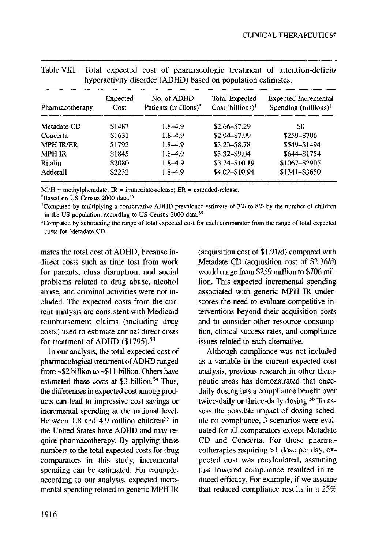| Pharmacotherapy  | Expected<br>Cost | No. of ADHD<br>Patients (millions)* | Total Expected<br>Cost (billions) <sup>†</sup> | <b>Expected Incremental</b><br>Spending (millions) $\ddagger$ |  |
|------------------|------------------|-------------------------------------|------------------------------------------------|---------------------------------------------------------------|--|
| Metadate CD      | \$1487           | 1.8–4.9                             | $$2.66 - $7.29$                                | 30                                                            |  |
| Concerta         | \$1631           | $1.8 - 4.9$                         | \$2.94-\$7.99                                  | \$259-\$706                                                   |  |
| <b>MPH IR/ER</b> | \$1792           | $1.8 - 4.9$                         | $$3.23 - $8.78$                                | \$549-\$1494                                                  |  |
| <b>MPH IR</b>    | \$1845           | $1.8 - 4.9$                         | \$3.32-\$9.04                                  | \$644-\$1754                                                  |  |
| Ritalin          | \$2080           | $1.8 - 4.9$                         | \$3.74-\$10.19                                 | \$1067-\$2905                                                 |  |
| Adderall         | \$2232           | $1.8 - 4.9$                         | $$4.02 - $10.94$                               | \$1341-\$3650                                                 |  |

|  |  |                                                              |  | Table VIII. Total expected cost of pharmacologic treatment of attention-deficit/ |
|--|--|--------------------------------------------------------------|--|----------------------------------------------------------------------------------|
|  |  | hyperactivity disorder (ADHD) based on population estimates. |  |                                                                                  |

 $MPH = methylphenidate; IR = immediate-release; ER = extended-release.$ 

\*Based on US Census 2000 data. 55

\*Computed by multiplying a conservative ADHD prevalence estimate of 3% to 8% by the number of children in the US population, according to US Census 2000 data.<sup>55</sup>

\*Computed by subtracting the range of total expected cost for each comparator from the range of total expected costs for Metadate CD.

mates the total cost of ADHD, because indirect costs such as time lost from work for parents, class disruption, and social problems related to drug abuse, alcohol abuse, and criminal activities were not included. The expected costs from the current analysis are consistent with Medicaid reimbursement claims (including drug costs) used to estimate annual direct costs for treatment of ADHD (\$1795).<sup>53</sup>

In our analysis, the total expected cost of pharmacological treatment of ADHD ranged from -\$2 billion to ~\$11 billion. Others have estimated these costs at \$3 billion.<sup>54</sup> Thus, the differences in expected cost among products can lead to impressive cost savings or incremental spending at the national level. Between 1.8 and 4.9 million children<sup>55</sup> in the United States have ADHD and may require pharmacotherapy. By applying these numbers to the total expected costs for drug comparators in this study, incremental spending can be estimated. For example, according to our analysis, expected incremental spending related to generic MPH IR (acquisition cost of \$1.91/d) compared with Metadate CD (acquisition cost of \$2.36/d) would range from \$259 million to \$706 million. This expected incremental spending associated with generic MPH IR underscores the need to evaluate competitive interventions beyond their acquisition costs and to consider other resource consumption, clinical success rates, and compliance issues related to each alternative.

Although compliance was not included as a variable in the current expected cost analysis, previous research in other therapeutic areas has demonstrated that oncedaily dosing has a compliance benefit over twice-daily or thrice-daily dosing. 56 To assess the possible impact of dosing schedule on compliance, 3 scenarios were evaluated for all comparators except Metadate CD and Concerta. For those pharma $cotherapies requiring >1$  dose per day, expected cost was recalculated, assuming that lowered compliance resulted in reduced efficacy. For example, if we assume that reduced compliance results in a 25%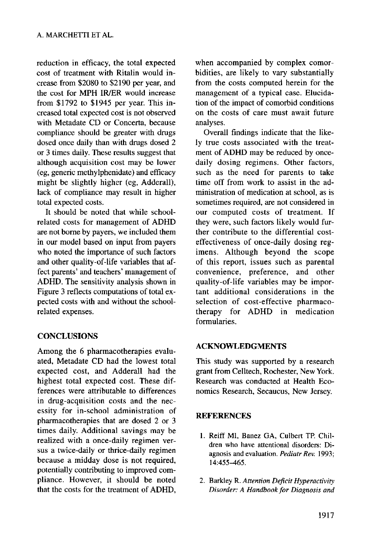reduction in efficacy, the total expected cost of treatment with Ritalin would increase from \$2080 to \$2190 per year, and the cost for MPH IR/ER would increase from \$1792 to \$1945 per year. This increased total expected cost is not observed with Metadate CD or Concerta, because compliance should be greater with drugs dosed once daily than with drugs dosed 2 or 3 times daily. These results suggest that although acquisition cost may be lower (eg, generic methylphenidate) and efficacy might be slightly higher (eg, Adderall), lack of compliance may result in higher total expected costs.

It should be noted that while schoolrelated costs for management of ADHD are not borne by payers, we included them in our model based on input from payers who noted the importance of such factors and other quality-of-life variables that affect parents' and teachers' management of ADHD. The sensitivity analysis shown in Figure 3 reflects computations of total expected costs with and without the schoolrelated expenses.

## **CONCLUSIONS**

Among the 6 pharmacotherapies evaluated, Metadate CD had the lowest total expected cost, and Adderall had the highest total expected cost. These differences were attributable to differences in drug-acquisition costs and the necessity for in-school administration of pharmacotherapies that are dosed 2 or 3 times daily. Additional savings may be realized with a once-daily regimen versus a twice-daily or thrice-daily regimen because a midday dose is not required, potentially contributing to improved compliance. However, it should be noted that the costs for the treatment of ADHD,

when accompanied by complex comorbidities, are likely to vary substantially from the costs computed herein for the management of a typical case. Elucidation of the impact of comorbid conditions on the costs of care must await future analyses.

Overall findings indicate that the likely true costs associated with the treatment of ADHD may be reduced by oncedaily dosing regimens. Other factors, such as the need for parents to take time off from work to assist in the administration of medication at school, as is sometimes required, are not considered in our computed costs of treatment. If they were, such factors likely would further contribute to the differential costeffectiveness of once-daily dosing regimens. Although beyond the scope of this report, issues such as parental convenience, preference, and other quality-of-life variables may be important additional considerations in the selection of cost-effective pharmacotherapy for ADHD in medication formularies.

### ACKNOWLEDGMENTS

This study was supported by a research grant from Celltech, Rochester, New York. Research was conducted at Health Economics Research, Secaucus, New Jersey.

### **REFERENCES**

- 1. Reiff MI, Banez GA, Culbert TP. Children who have attentional disorders: Diagnosis and evaluation. *Pediatr Rev.* 1993; 14:455-465.
- 2. Barkley R. *Attention Deficit Hyperactivity Disorder: A Handbook for Diagnosis and*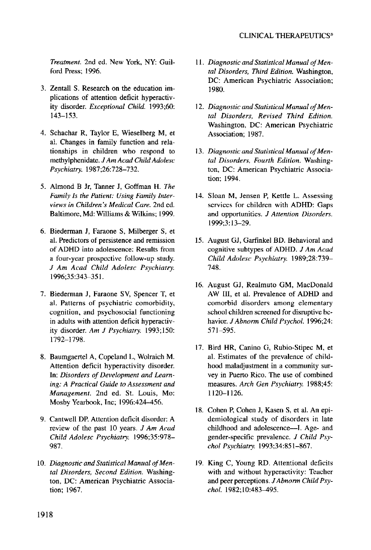#### CLINICAL THERAPEUTICS<sup>®</sup>

*Treatment.* 2nd ed. New York, NY: Guilford Press; 1996.

- 3. Zentall S. Research on the education implications of attention deficit hyperactivity disorder. *Exceptional Child.* 1993;60: 143-153.
- 4. Schachar R, Taylor E, Wieselberg M, et al. Changes in family function and relationships in children who respond to methylphenidate. *J Am Acad Child Adolesc Psychiatry.* 1987;26:728-732.
- 5. Almond B Jr, Tanner J, Goffman H. *The Family Is the Patient: Using Family Interviews in Children's Medical Care.* 2nd ed. Baltimore, Md: Williams & Wilkins; 1999.
- 6. Biederman J, Faraone S, Milberger S, et al. Predictors of persistence and remission of ADHD into adolescence: Results from a four-year prospective follow-up study. *J Am Acad Child Adolesc Psychiatry.*  1996;35:343-351.
- 7. Biederman J, Faraone SV, Spencer T, et al. Patterns of psychiatric comorbidity, cognition, and psychosocial functioning in adults with attention deficit hyperactivity disorder. *Am J Psychiatry.* 1993;150: 1792-1798.
- 8. Baumgaertel A, Copeland L, Wolraich M. Attention deficit hyperactivity disorder. In: *Disorders of Development and Learning: A Practical Guide to Assessment and Management.* 2nd ed. St. Louis, Mo: Mosby Yearbook, Inc; 1996:424-456.
- 9. Cantwell DE Attention deficit disorder: A review of the past 10 years. *J Am Acad Child Adolesc Psychiatry.* 1996;35:978- 987.
- 10. *Diagnostic and Statistical Manual of Mental Disorders, Second Edition.* Washington, DC: American Psychiatric Association; 1967.
- 11. *Diagnostic and Statistical Manual of Mental Disorders, Third Edition.* Washington, DC: American Psychiatric Association; 1980.
- 12. *Diagnostic and Statistical Manual of Mental Disorders, Revised Third Edition.*  Washington, DC: American Psychiatric Association; 1987.
- 13. *Diagnostic and Statistical Manual of Mental Disorders, Fourth Edition.* Washington, DC: American Psychiatric Association; 1994.
- 14. Sloan M, Jensen P, Kettle L. Assessing services for children with ADHD: Gaps and opportunities. *J Attention Disorders.*  1999;3:13-29.
- 15. August GJ, Garfinkel BD. Behavioral and cognitive subtypes of ADHD. *J Am Acad Child Adolesc Psychiatry.* 1989;28:739- 748.
- 16. August GJ, Realmuto GM, MacDonald AW III, et al. Prevalence of ADHD and comorbid disorders among elementary school children screened for disruptive behavior. *J Abnorm Child Psychol.* 1996;24: 571-595.
- 17. Bird HR, Canino G, Rubio-Stipec M, et al. Estimates of the prevalence of childhood maladjustment in a community survey in Puerto Rico. The use of combined measures. *Arch Gen Psychiatry.* 1988;45: **1120-1126.**
- 18. Cohen P, Cohen J, Kasen S, et al. An epidemiological study of disorders in late childhood and adolescence--I. Age- and gender-specific prevalence. *J Child Psychol Psychiatry.* 1993;34:851-867.
- 19. King C, Young RD. Attentional deficits with and without hyperactivity: Teacher and peer perceptions. *J Abnorm Child Psychol.* 1982;10:483-495.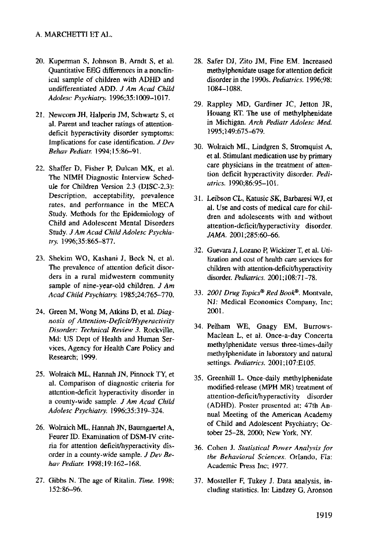- 20. Kuperman S, Johnson B, Arndt S, et al. Quantitative EEG differences in a nonclinical sample of children with ADHD and undifferentiated ADD. *J Am Acad Child Adolesc Psychiatry.* 1996;35:1009-1017.
- 21. Newcorn JH, Halperin JM, Schwartz S, et al. Parent and teacher ratings of attentiondeficit hyperactivity disorder symptoms: Implications for case identification. *J Dev Behav Pediatr.* 1994;15:86-91.
- 22. Shaffer D, Fisher P, Dulcan MK, et al. The NIMH Diagnostic Interview Schedule for Children Version 2.3 (DISC-2.3): Description, acceptability, prevalence rates, and performance in the MECA Study. Methods for the Epidemiology of Child and Adolescent Mental Disorders Study. *J Am Acad Child Adolesc Psychia*try. 1996;35:865-877.
- 23. Shekim WO, Kashani J, Beck N, et al. The prevalence of attention deficit disorders in a rural midwestern community sample of nine-year-old children, *d Am Acad Child Psychiatry.* 1985;24:765-770.
- 24. Green M, Wong M, Atkins D, et al. *Diagnosis of Attention-Deficit/Hyperactivity Disorder: Technical Review 3.* Rockville, Md: US Dept of Health and Human Services, Agency for Health Care Policy and Research; 1999.
- 25. Wolraich ML, Hannah JN, Pinnock TY, et al. Comparison of diagnostic criteria for attention-deficit hyperactivity disorder in a county-wide sample. *J Am Acad Child Adolesc Psychiatry.* 1996;35:319-324.
- 26. Wolraich ML, Hannah JN, Baumgaertel A, Feurer ID. Examination of DSM-IV criteria for attention deficit/hyperactivity disorder in a county-wide sample. *J Dev Behay Pediatr.* 1998;19:162-168.
- 27. Gibbs N. The age of Ritalin. *Time.* 1998; 152:86-96.
- 28. Safer DJ, Zito JM, Fine EM. Increased methylphenidate usage for attention deficit disorder in the 1990s. *Pediatrics.* 1996;98: 1084-1088.
- 29. Rappley MD, Gardiner JC, Jetton JR, Houang RT. The use of methylphenidate in Michigan. *Arch Pediatr Adolesc Med.*  1995;149:675-679.
- 30. Wolraich ML, Lindgren S, Stromquist A, et al. Stimulant medication use by primary care physicians in the treatment of attention deficit hyperactivity disorder. *Pediatrics.* 1990;86:95-101.
- 31. Leibson CL. Katusic SK, Barbaresi WJ, et al. Use and costs of medical care for children and adolescents with and without attention-deficit/hyperactivity disorder. JAMA. 2001:285:60-66.
- 32. Guevara 1, Lozano E Wickizer T, et al. Utilization and cost of health care services for children with attention-deficit/hyperactivity disorder. *Pediatrics.* 2001; 108:71-78.
- 33. *2001 Drug Topics ® Red Book ®.* Montvale, NJ: Medical Economics Company, Inc; 2001.
- 34. Pelham WE, Gnagy EM, Burrows-Maclean L, et al. Once-a-day Concerta methylphenidate versus three-times-dally methylphenidate in laboratory and natural settings. *Pediatrics.* 2001;107:E105.
- 35. Greenhill L. Once-daily methylphenidate modified-release (MPH MR) treatment of attention-deficit/hyperactivity disorder (ADHD). Poster presented at: 47th Annual Meeting of the American Academy of Child and Adolescent Psychiatry; October 25-28, 2000; New York, NY.
- 36. Cohen J. *Statistical Power Analysis for the Behavioral Sciences.* Orlando, Fla: Academic Press Inc; 1977.
- 37. Mosteller F, Tukey J. Data analysis, including statistics. In: Lindzey G, Aronson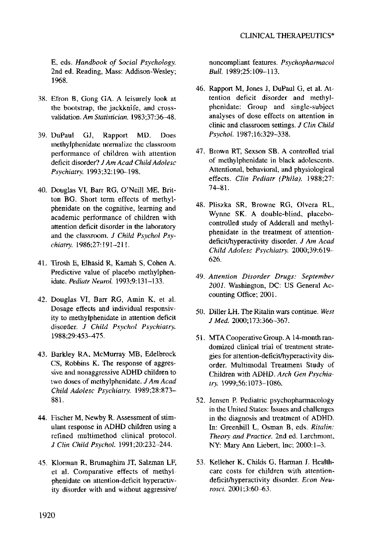E, eds, *Handbook of Social Psychology.*  2nd ed. Reading, Mass: Addison-Wesley; 1968.

- 38. Efron B, Gong GA. A leisurely look at the bootstrap, the jackknife, and crossvalidation. *Am Statistician.* 1983;37:36-48.
- 39. DuPaul GJ, Rapport MD. Does methylphenidate normalize the classroom performance of children with attention deficit disorder? *J Am Acad Child Adolesc Psychiatry.* 1993;32:190--198.
- 40. Douglas VI, Barr RG, O'Neill ME, Britton BG. Short term effects of methylphenidate on the cognitive, learning and academic performance of children with attention deficit disorder in the laboratory and the classroom. *J Child Psychol Psychiatry.* 1986;27:191-211.
- 41. Tirosh E, Elhasid R, Kamah S, Cohen A. Predictive value of placebo methylphenidate. *Pediatr Neurol.* 1993;9:131-133.
- 42. Douglas VI, Barr RG, Amin K, et al. Dosage effects and individual responsivity to methylphenidate in attention deficit disorder. *J Child Psychol Psychiatry.*  1988;29:453-475.
- 43. Barkley RA, McMurray MB, Edelbrock CS, Robbins K. The response of aggressive and nonaggressive ADHD children to two doses of methylphenidate, *JAm Acad Child Adolesc Psychiatry.* 1989;28:873- 881.
- 44. Fischer M, Newby R. Assessment of stimulant response in ADHD children using a refined multimethod clinical protocol. *J Clin Child Psychol.* 1991;20:232-244.
- 45. Klorman R, Brumaghim JT, Salzman LF, et al. Comparative effects of methylphenidate on attention-deficit hyperactivity disorder with and without aggressive/

noncompliant features. *Psychopharmacol Bull.* 1989;25:109-113.

- 46. Rapport M, Jones J, DuPaul G, et al. Attention deficit disorder and methylphenidate: Group and single-subject analyses of dose effects on attention in clinic and classroom settings. *J Clin Child Psychol.* 1987;16:329-338.
- 47. Brown RT, Sexson SB. A controlled trial of methylphenidate in black adolescents. Attentional, behavioral, and physiological effects. *Clin Pediatr (Phila).* 1988;27: 74-81.
- 48. Pliszka SR, Browne RG, Olvera RL, Wynne SK. A double-blind, placebocontrolled study of Adderall and methylphenidate in the treatment of attentiondeficit/hyperactivity disorder. *J Am Acad Child Adolesc Psychiatry.* 2000;39:619- 626.
- 49. *Attention Disorder Drugs: September 2001.* Washington, DC: US General Accounting Office; 2001.
- 50. Diller LH. The Ritalin wars continue. *West J Med.* 2000;173:366-367.
- 51. MTA Cooperative Group. A 14-month randomized clinical trial of treatment strategies for attention-deficit/hyperactivity disorder. Multimodal Treatment Study of Children with ADHD. *Arch Gen Psychia*try. 1999;56:1073-1086.
- 52. Jensen E Pediatric psychopharmacology in the United States: Issues and challenges in the diagnosis and treatment of ADHD. In: Greenhill L, Osman B, eds. *Ritalin: Theory. and Practice.* 2nd ed. Larchmont, NY: Mary Ann Liebert, Inc; 2000:1-3.
- 53. Kelleher K, Childs G, Harman J. Healthcare costs for children with attentiondeficit/hyperactivity disorder. *Econ Neurosci.* 2001 ;3:60-63.